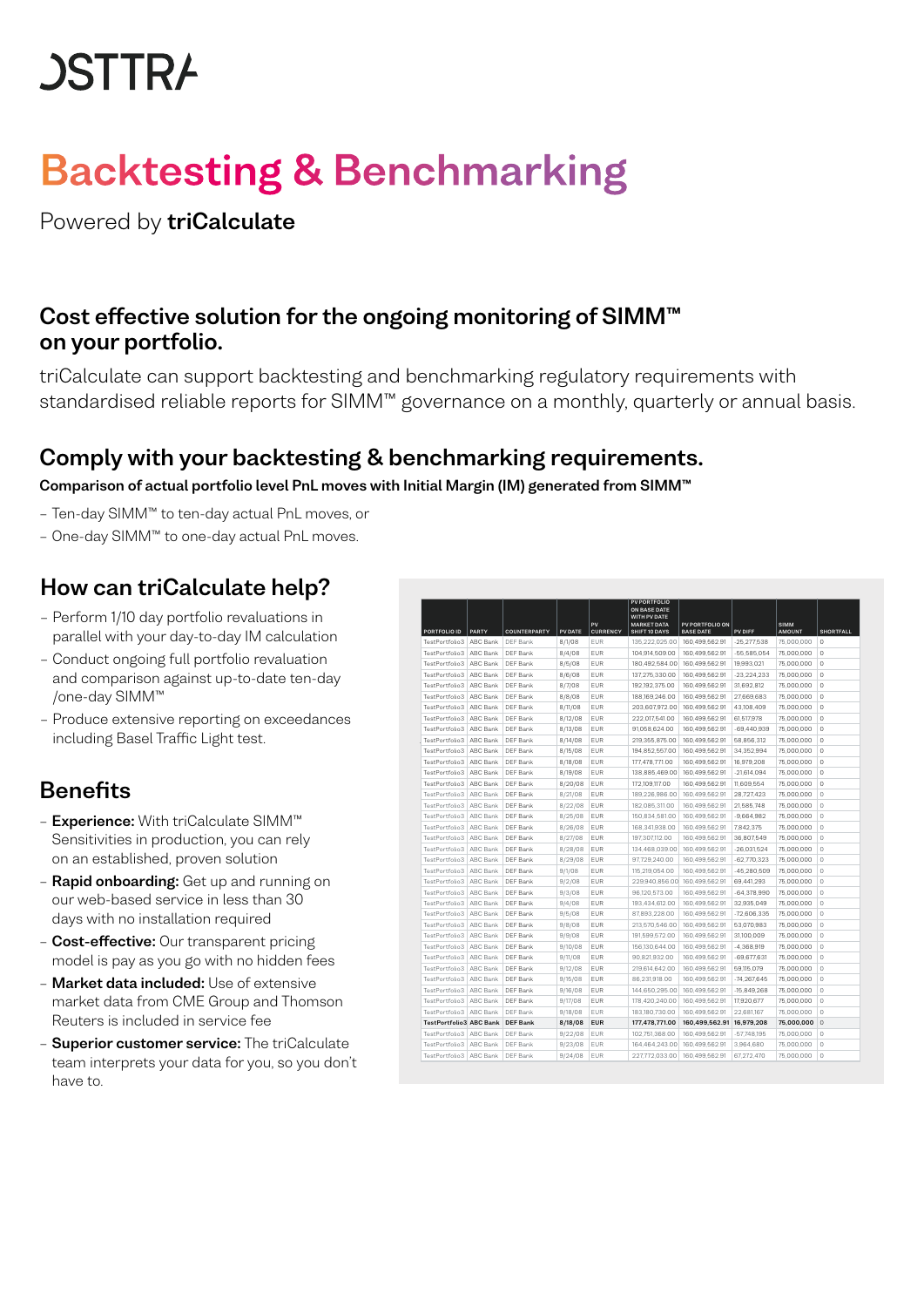# **JSTTRA**

## Backtesting & Benchmarking  $\Gamma$  and the atime  $\Omega$   $\Gamma$  are alone and in  $\sigma$

Powered by **triCalculate** extending monitoring monitoring monitoring monitoring monitoring of SIMTMM on the ongoing of SIMTMM on the ongoing monitoring of SIMTMM on the ongoing monitoring monitoring monitoring monitoring m

## Cost effective solution for the ongoing monitoring of SIMM™ triCalculate can support backtesting and benchmarking and benchmarking regulatory regulatory requirements with standardized variable can standardize  $\alpha$

triCalculate can support backtesting and benchmarking regulatory requirements with standardised reliable reports for SIMM™ governance on a monthly, quarterly or annual basis.

## Comply with your backtesting & benchmarking requirements.

#### Comparison of actual portfolio level PnL moves with Initial Margin (IM) generated from SIMM™

- Ten-day SIMM™ to ten-day actual PnL moves, or Ten-day SIMMTM to ten-day actual PnL moves, or
- One-day SIMM™ to one-day actual PnL moves. One-day SIMMTM to one-day actual PnL moves

## How can triCalculate help?

- Perform 1/10 day portfolio revaluations in  $-$  Perform 1/10 day portfolio revaluations in parallel with your day-to-day IM calculation  $\blacksquare$
- Conduct ongoing full portfolio revaluation and comparison against up-to-date ten-day /one-day SIMM™ • Conduct ongoing full portfolio revaluation and comparison
- Produce extensive reporting on exceedances against up-to-date ten-day/one-day SIMMTM • Produce extending Basel Traffic Light test. And the control of the control of the control of the control of t

## **Benefits**

- Experience: With triCalculate SIMM™ Sensitivities in production, you can rely on an established, proven solution
- **Rapid onboarding:** Get up and running on our web-based service in less than 30 days with no installation required
- **Cost-effective:** Our transparent pricing<br>- Cost-like model is pay as your family as hidden factor model is pay as you go with no hidden fees
- Market data included: Use of extensive market data from CME Group and Thomson Reuters is included in service fee mouor io pi
- **Superior customer service:** The triCalculate team interprets your data for you, so you don't have to.

| PORTFOLIO ID                   | PARTY    | COUNTERPARTY   | PV DATE | PV<br><b>CURRENCY</b> | <b>PV PORTFOLIO</b><br>ON BASE DATE<br>WITH PV DATE<br><b>MARKET DATA</b><br>SHIFT 10 DAYS | PV PORTFOLIO ON<br><b>BASE DATE</b> | PV DIFF       | <b>SIMM</b><br><b>AMOUNT</b> | <b>SHORTFALL</b> |
|--------------------------------|----------|----------------|---------|-----------------------|--------------------------------------------------------------------------------------------|-------------------------------------|---------------|------------------------------|------------------|
| TestPortfolio3                 | ABC Bank | DEF Bank       | 8/1/08  | EUR                   | 135.222.025.00                                                                             | 160.499.562.91                      | $-25.277.538$ | 75,000,000                   | $\Omega$         |
| TestPortfolio3                 | ABC Bank | DEF Bank       | 8/4/08  | EUR                   | 104.914.509.00                                                                             | 160.499.562.91                      | $-55.585.054$ | 75.000.000                   | $\circ$          |
| TestPortfolio3                 | ABC Bank | DEF Bank       | 8/5/08  | <b>EUR</b>            | 180.492.584.00                                                                             | 160.499.562.91                      | 19.993.021    | 75.000.000                   | $\Omega$         |
| TestPortfolio3                 | ABC Bank | DEF Bank       | 8/6/08  | EUR                   | 137.275.330.00                                                                             | 160.499.562.91                      | $-23.224.233$ | 75,000,000                   | $\Omega$         |
| TestPortfolio3                 | ABC Bank | DEF Bank       | 8/7/08  | EUR                   | 192.192.375.00                                                                             | 160.499.562.91                      | 31.692.812    | 75,000,000                   | $\circ$          |
| TestPortfolio3                 | ABC Bank | DEF Bank       | 8/8/08  | EUR                   | 188,169,246.00                                                                             | 160,499,562.91                      | 27,669,683    | 75,000,000                   | $\theta$         |
| TestPortfolio3                 | ARC Bank | DEF Bank       | 8/11/08 | EUR                   | 203,607,972.00                                                                             | 160,499,562.91                      | 43,108,409    | 75,000,000                   | $\theta$         |
| TestPortfolio3                 | ARC Bank | DEF Bank       | 8/12/08 | EUR                   | 222.017.541.00                                                                             | 160.499.562.91                      | 61.517.978    | 75,000,000                   | $\Omega$         |
| TestPortfolio3                 | ABC Bank | DEF Bank       | 8/13/08 | <b>EUR</b>            | 91.058.624.00                                                                              | 160.499.562.91                      | $-69.440.939$ | 75.000.000                   | $\circ$          |
| TestPortfolio3                 | ABC Bank | DEF Bank       | 8/14/08 | <b>EUR</b>            | 219.355.875.00                                                                             | 160.499.562.91                      | 58.856.312    | 75.000.000                   | $\Omega$         |
| TestPortfolio3                 | ABC Bank | DEF Bank       | 8/15/08 | EUR                   | 194.852.557.00                                                                             | 160.499.562.91                      | 34.352.994    | 75.000.000                   | $\circ$          |
| TestPortfolio3                 | ABC Bank | DEF Bank       | 8/18/08 | EUR                   | 177.478.771.00                                                                             | 160.499.562.91                      | 16.979.208    | 75.000.000                   | $\circ$          |
| TestPortfolio3                 | ABC Bank | DEF Bank       | 8/19/08 | EUR                   | 138.885.469.00                                                                             | 160.499.562.91                      | $-21.614.094$ | 75,000,000                   | $\Omega$         |
| TestPortfolio3                 | ABC Bank | DEF Bank       | 8/20/08 | EUR                   | 172.109.117.00                                                                             | 160,499,562.91                      | 11,609,554    | 75,000,000                   | $\Omega$         |
| TestPortfolio3                 | ARC Bank | DEF Bank       | 8/21/08 | EUR                   | 189.226.986.00                                                                             | 160.499.562.91                      | 28.727.423    | 75,000,000                   | $\circ$          |
| TestPortfolio3                 | ABC Bank | DEF Bank       | 8/22/08 | <b>EUR</b>            | 182.085.311.00                                                                             | 160.499.562.91                      | 21.585.748    | 75.000.000                   | $\circ$          |
| TestPortfolio3                 | ABC Bank | DEF Bank       | 8/25/08 | <b>EUR</b>            | 150.834.581.00                                                                             | 160.499.562.91                      | $-9.664.982$  | 75.000.000                   | $\Omega$         |
| TestPortfolio3                 | ABC Bank | DEF Bank       | 8/26/08 | EUR                   | 168.341.938.00                                                                             | 160.499.562.91                      | 7.842.375     | 75.000.000                   | $\circ$          |
| TestPortfolio3                 | ABC Bank | DEF Bank       | 8/27/08 | EUR                   | 197.307.112.00                                                                             | 160.499.562.91                      | 36.807.549    | 75.000.000                   | $\circ$          |
| TestPortfolio3                 | ABC Bank | DEF Bank       | 8/28/08 | EUR                   | 134.468.039.00                                                                             | 160.499.562.91                      | $-26.031.524$ | 75,000,000                   | $\circ$          |
| TestPortfolio3                 | ABC Bank | DEF Bank       | 8/29/08 | EUR                   | 97.729.240.00                                                                              | 160.499.562.91                      | $-62.770.323$ | 75,000,000                   | $\circ$          |
| TestPortfolio3                 | ABC Bank | DEE Bank       | 9/1/08  | <b>FUR</b>            | 115.219.054.00                                                                             | 160.499.562.91                      | $-45.280.509$ | 75.000.000                   | $\Omega$         |
| TestPortfolio3                 | ABC Bank | DEF Bank       | 9/2/08  | EUR                   | 229.940.856.00                                                                             | 160.499.562.91                      | 69.441.293    | 75.000.000                   | $\circ$          |
| TestPortfolio3                 | ABC Bank | DEF Bank       | 9/3/08  | EUR                   | 96.120.573.00                                                                              | 160.499.562.91                      | $-64.378.990$ | 75,000,000                   | $\circ$          |
| TestPortfolio3                 | ABC Bank | DEF Bank       | 9/4/08  | EUR                   | 193.434.612.00                                                                             | 160.499.562.91                      | 32,935,049    | 75,000,000                   | $\circ$          |
| TestPortfolio3                 | ABC Bank | DEF Bank       | 9/5/08  | EUR                   | 87.893.228.00                                                                              | 160.499.562.91                      | $-72,606,335$ | 75,000,000                   | $\circ$          |
| TestPortfolio3                 | ABC Bank | DEF Bank       | 9/8/08  | EUR                   | 213.570.546.00                                                                             | 160.499.562.91                      | 53.070.983    | 75.000.000                   | $\circ$          |
| TestPortfolio3                 | ABC Bank | DEF Bank       | 9/9/08  | EUR                   | 191.599.572.00                                                                             | 160.499.562.91                      | 31.100.009    | 75,000,000                   | $\circ$          |
| TestPortfolio3                 | ABC Bank | DEF Bank       | 9/10/08 | EUR                   | 156.130.644.00                                                                             | 160.499.562.91                      | $-4,368,919$  | 75.000.000                   | $\Omega$         |
| TestPortfolio3                 | ABC Bank | DEF Bank       | 9/11/08 | EUR                   | 90.821.932.00                                                                              | 160.499.562.91                      | $-69.677.631$ | 75.000.000                   | $\Omega$         |
| TestPortfolio3                 | ABC Bank | DEF Bank       | 9/12/08 | EUR                   | 219.614.642.00                                                                             | 160.499.562.91                      | 59.115.079    | 75.000.000                   | $\circ$          |
| TestPortfolio3                 | ABC Bank | DEF Bank       | 9/15/08 | EUR                   | 86,231,918.00                                                                              | 160,499,562.91                      | $-74,267,645$ | 75,000,000                   | $\circ$          |
| TestPortfolio3                 | ABC Bank | DEF Bank       | 9/16/08 | EUR                   | 144.650.295.00                                                                             | 160.499.562.91                      | $-15,849,268$ | 75,000,000                   | $\circ$          |
| TestPortfolio3                 | ABC Bank | DEF Bank       | 9/17/08 | EUR                   | 178.420.240.00                                                                             | 160.499.562.91                      | 17.920.677    | 75,000,000                   | $\circ$          |
| TestPortfolio3                 | ABC Bank | DEF Bank       | 9/18/08 | EUR                   | 183,180,730.00                                                                             | 160.499.562.91                      | 22.681.167    | 75.000.000                   | $\circ$          |
| <b>TestPortfolio3 ABC Bank</b> |          | <b>DEFBank</b> | 8/18/08 | <b>EUR</b>            | 177,478,771.00                                                                             | 160.499.562.91                      | 16,979,208    | 75,000,000                   | $\circ$          |
| TestPortfolio3                 | ABC Bank | DEF Bank       | 9/22/08 | EUR                   | 102.751.368.00                                                                             | 160.499.562.91                      | $-57,748,195$ | 75.000.000                   | $\circ$          |
| TestPortfolio3                 | ABC Bank | DEF Bank       | 9/23/08 | <b>EUR</b>            | 164.464.243.00                                                                             | 160.499.562.91                      | 3.964.680     | 75.000.000                   | $\circ$          |
| TestPortfolio3                 | ABC Bank | DEF Bank       | 9/24/08 | <b>EUR</b>            | 227,772,033.00                                                                             | 160.499.562.91                      | 67,272,470    | 75,000,000                   | $\circ$          |